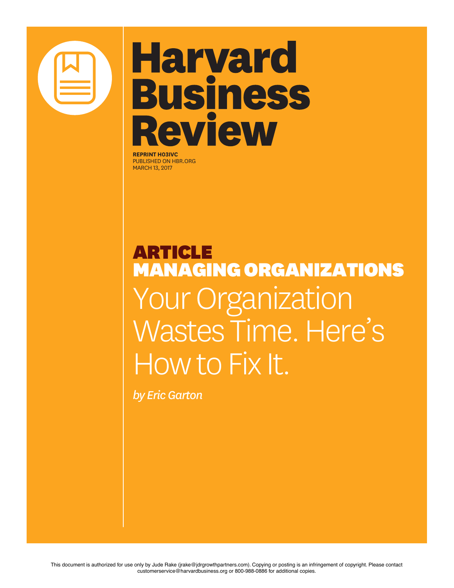

# **Harvard Business Review**

**REPRINT H03IVC** PUBLISHED ON HBR.ORG MARCH 13, 2017

ARTICLE MANAGING ORGANIZATIONS Your Organization Wastes Time. Here's How to Fix It.

*by Eric Garton*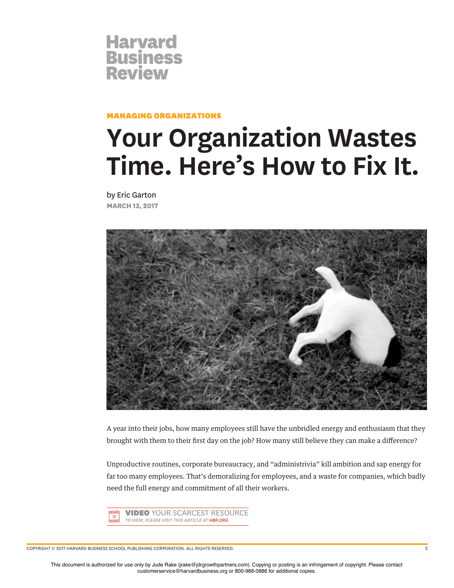

#### MANAGING ORGANIZATIONS

## **Your Organization Wastes Time. Here's How to Fix It.**

by Eric Garton **MARCH 13, 2017**



A year into their jobs, how many employees still have the unbridled energy and enthusiasm that they brought with them to their frst day on the job? How many still believe they can make a diference?

Unproductive routines, corporate bureaucracy, and "administrivia" kill ambition and sap energy for far too many employees. That's demoralizing for employees, and a waste for companies, which badly need the full energy and commitment of all their workers.



COPYRIGHT © 2017 HARVARD BUSINESS SCHOOL PUBLISHING CORPORATION. ALL RIGHTS RESERVED. 2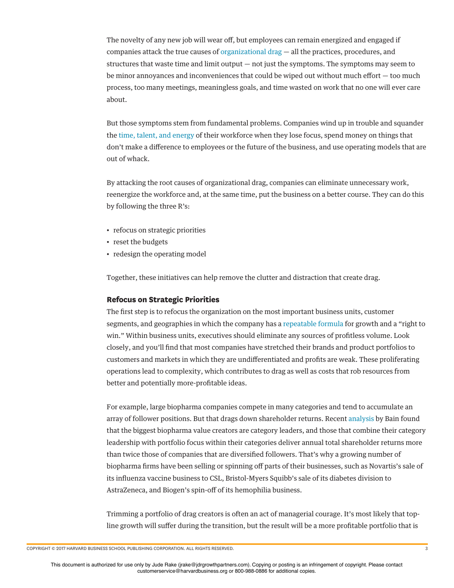The novelty of any new job will wear off, but employees can remain energized and engaged if companies attack the true causes of organizational drag — all the practices, procedures, and structures that waste time and limit output  $-$  not just the symptoms. The symptoms may seem to be minor annoyances and inconveniences that could be wiped out without much effort — too much process, too many meetings, meaningless goals, and time wasted on work that no one will ever care about.

But those symptoms stem from fundamental problems. Companies wind up in trouble and squander the time, talent, and energy of their workforce when they lose focus, spend money on things that don't make a diference to employees or the future of the business, and use operating models that are out of whack.

By attacking the root causes of organizational drag, companies can eliminate unnecessary work, reenergize the workforce and, at the same time, put the business on a better course. They can do this by following the three R's:

- refocus on strategic priorities
- reset the budgets
- redesign the operating model

Together, these initiatives can help remove the clutter and distraction that create drag.

#### **Refocus on Strategic Priorities**

The frst step is to refocus the organization on the most important business units, customer segments, and geographies in which the company has a repeatable formula for growth and a "right to win." Within business units, executives should eliminate any sources of proftless volume. Look closely, and you'll fnd that most companies have stretched their brands and product portfolios to customers and markets in which they are undiferentiated and profts are weak. These proliferating operations lead to complexity, which contributes to drag as well as costs that rob resources from better and potentially more-proftable ideas.

For example, large biopharma companies compete in many categories and tend to accumulate an array of follower positions. But that drags down shareholder returns. Recent analysis by Bain found that the biggest biopharma value creators are category leaders, and those that combine their category leadership with portfolio focus within their categories deliver annual total shareholder returns more than twice those of companies that are diversifed followers. That's why a growing number of biopharma firms have been selling or spinning off parts of their businesses, such as Novartis's sale of its infuenza vaccine business to CSL, Bristol-Myers Squibb's sale of its diabetes division to AstraZeneca, and Biogen's spin-off of its hemophilia business.

Trimming a portfolio of drag creators is often an act of managerial courage. It's most likely that topline growth will sufer during the transition, but the result will be a more proftable portfolio that is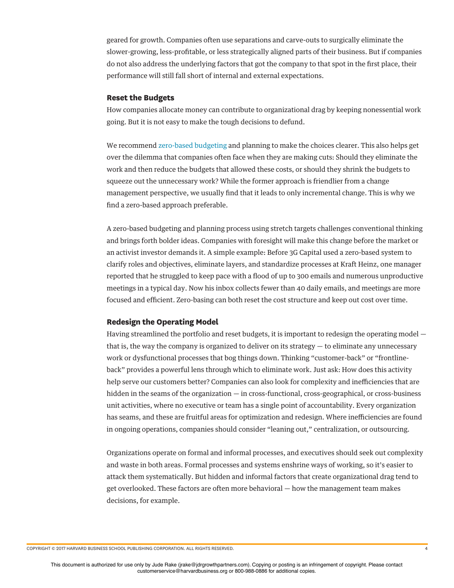geared for growth. Companies often use separations and carve-outs to surgically eliminate the slower-growing, less-proftable, or less strategically aligned parts of their business. But if companies do not also address the underlying factors that got the company to that spot in the frst place, their performance will still fall short of internal and external expectations.

#### **Reset the Budgets**

How companies allocate money can contribute to organizational drag by keeping nonessential work going. But it is not easy to make the tough decisions to defund.

We recommend zero-based budgeting and planning to make the choices clearer. This also helps get over the dilemma that companies often face when they are making cuts: Should they eliminate the work and then reduce the budgets that allowed these costs, or should they shrink the budgets to squeeze out the unnecessary work? While the former approach is friendlier from a change management perspective, we usually fnd that it leads to only incremental change. This is why we fnd a zero-based approach preferable.

A zero-based budgeting and planning process using stretch targets challenges conventional thinking and brings forth bolder ideas. Companies with foresight will make this change before the market or an activist investor demands it. A simple example: Before 3G Capital used a zero-based system to clarify roles and objectives, eliminate layers, and standardize processes at Kraft Heinz, one manager reported that he struggled to keep pace with a food of up to 300 emails and numerous unproductive meetings in a typical day. Now his inbox collects fewer than 40 daily emails, and meetings are more focused and effcient. Zero-basing can both reset the cost structure and keep out cost over time.

### **Redesign the Operating Model**

Having streamlined the portfolio and reset budgets, it is important to redesign the operating model that is, the way the company is organized to deliver on its strategy — to eliminate any unnecessary work or dysfunctional processes that bog things down. Thinking "customer-back" or "frontlineback" provides a powerful lens through which to eliminate work. Just ask: How does this activity help serve our customers better? Companies can also look for complexity and inefficiencies that are hidden in the seams of the organization — in cross-functional, cross-geographical, or cross-business unit activities, where no executive or team has a single point of accountability. Every organization has seams, and these are fruitful areas for optimization and redesign. Where inefficiencies are found in ongoing operations, companies should consider "leaning out," centralization, or outsourcing.

Organizations operate on formal and informal processes, and executives should seek out complexity and waste in both areas. Formal processes and systems enshrine ways of working, so it's easier to attack them systematically. But hidden and informal factors that create organizational drag tend to get overlooked. These factors are often more behavioral — how the management team makes decisions, for example.

COPYRIGHT © 2017 HARVARD BUSINESS SCHOOL PUBLISHING CORPORATION. ALL RIGHTS RESERVED. 4